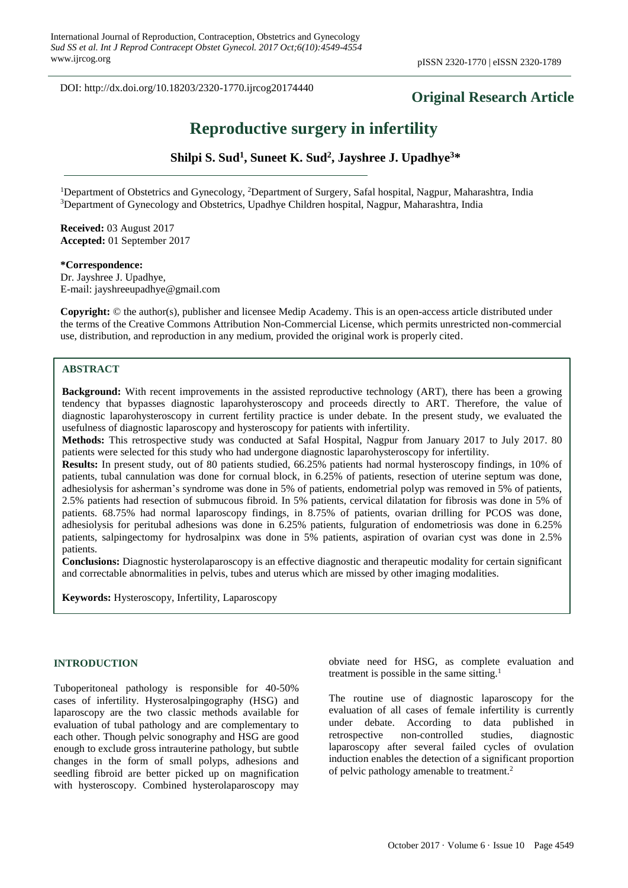DOI: http://dx.doi.org/10.18203/2320-1770.ijrcog20174440

# **Original Research Article**

# **Reproductive surgery in infertility**

**Shilpi S. Sud<sup>1</sup> , Suneet K. Sud<sup>2</sup> , Jayshree J. Upadhye<sup>3</sup>\***

<sup>1</sup>Department of Obstetrics and Gynecology, <sup>2</sup>Department of Surgery, Safal hospital, Nagpur, Maharashtra, India <sup>3</sup>Department of Gynecology and Obstetrics, Upadhye Children hospital, Nagpur, Maharashtra, India

**Received:** 03 August 2017 **Accepted:** 01 September 2017

**\*Correspondence:** Dr. Jayshree J. Upadhye, E-mail: jayshreeupadhye@gmail.com

**Copyright:** © the author(s), publisher and licensee Medip Academy. This is an open-access article distributed under the terms of the Creative Commons Attribution Non-Commercial License, which permits unrestricted non-commercial use, distribution, and reproduction in any medium, provided the original work is properly cited.

#### **ABSTRACT**

**Background:** With recent improvements in the assisted reproductive technology (ART), there has been a growing tendency that bypasses diagnostic laparohysteroscopy and proceeds directly to ART. Therefore, the value of diagnostic laparohysteroscopy in current fertility practice is under debate. In the present study, we evaluated the usefulness of diagnostic laparoscopy and hysteroscopy for patients with infertility.

**Methods:** This retrospective study was conducted at Safal Hospital, Nagpur from January 2017 to July 2017. 80 patients were selected for this study who had undergone diagnostic laparohysteroscopy for infertility.

**Results:** In present study, out of 80 patients studied, 66.25% patients had normal hysteroscopy findings, in 10% of patients, tubal cannulation was done for cornual block, in 6.25% of patients, resection of uterine septum was done, adhesiolysis for asherman's syndrome was done in 5% of patients, endometrial polyp was removed in 5% of patients, 2.5% patients had resection of submucous fibroid. In 5% patients, cervical dilatation for fibrosis was done in 5% of patients. 68.75% had normal laparoscopy findings, in 8.75% of patients, ovarian drilling for PCOS was done, adhesiolysis for peritubal adhesions was done in 6.25% patients, fulguration of endometriosis was done in 6.25% patients, salpingectomy for hydrosalpinx was done in 5% patients, aspiration of ovarian cyst was done in 2.5% patients.

**Conclusions:** Diagnostic hysterolaparoscopy is an effective diagnostic and therapeutic modality for certain significant and correctable abnormalities in pelvis, tubes and uterus which are missed by other imaging modalities.

**Keywords:** Hysteroscopy, Infertility, Laparoscopy

#### **INTRODUCTION**

Tuboperitoneal pathology is responsible for 40-50% cases of infertility. Hysterosalpingography (HSG) and laparoscopy are the two classic methods available for evaluation of tubal pathology and are complementary to each other. Though pelvic sonography and HSG are good enough to exclude gross intrauterine pathology, but subtle changes in the form of small polyps, adhesions and seedling fibroid are better picked up on magnification with hysteroscopy. Combined hysterolaparoscopy may obviate need for HSG, as complete evaluation and treatment is possible in the same sitting. $<sup>1</sup>$ </sup>

The routine use of diagnostic laparoscopy for the evaluation of all cases of female infertility is currently under debate. According to data published in retrospective non-controlled studies, diagnostic laparoscopy after several failed cycles of ovulation induction enables the detection of a significant proportion of pelvic pathology amenable to treatment.<sup>2</sup>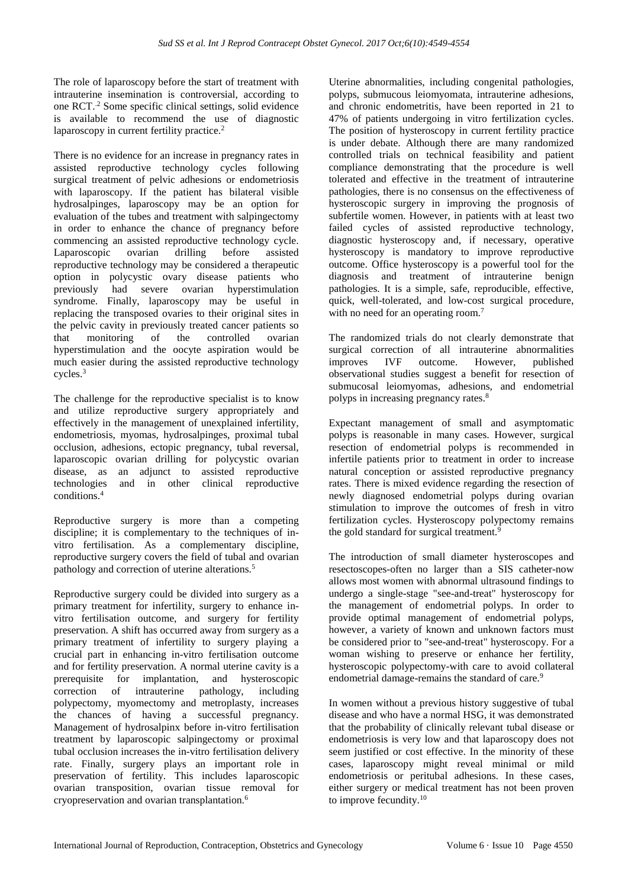The role of laparoscopy before the start of treatment with intrauterine insemination is controversial, according to one RCT..2 Some specific clinical settings, solid evidence is available to recommend the use of diagnostic laparoscopy in current fertility practice.<sup>2</sup>

There is no evidence for an increase in pregnancy rates in assisted reproductive technology cycles following surgical treatment of pelvic adhesions or endometriosis with laparoscopy. If the patient has bilateral visible hydrosalpinges, laparoscopy may be an option for evaluation of the tubes and treatment with salpingectomy in order to enhance the chance of pregnancy before commencing an assisted reproductive technology cycle. Laparoscopic ovarian drilling before assisted reproductive technology may be considered a therapeutic option in polycystic ovary disease patients who previously had severe ovarian hyperstimulation syndrome. Finally, laparoscopy may be useful in replacing the transposed ovaries to their original sites in the pelvic cavity in previously treated cancer patients so that monitoring of the controlled ovarian hyperstimulation and the oocyte aspiration would be much easier during the assisted reproductive technology cycles.<sup>3</sup>

The challenge for the reproductive specialist is to know and utilize reproductive surgery appropriately and effectively in the management of unexplained infertility, endometriosis, myomas, hydrosalpinges, proximal tubal occlusion, adhesions, ectopic pregnancy, tubal reversal, laparoscopic ovarian drilling for polycystic ovarian disease, as an adjunct to assisted reproductive technologies and in other clinical reproductive conditions<sup>4</sup>

Reproductive surgery is more than a competing discipline; it is complementary to the techniques of invitro fertilisation. As a complementary discipline, reproductive surgery covers the field of tubal and ovarian pathology and correction of uterine alterations.<sup>5</sup>

Reproductive surgery could be divided into surgery as a primary treatment for infertility, surgery to enhance invitro fertilisation outcome, and surgery for fertility preservation. A shift has occurred away from surgery as a primary treatment of infertility to surgery playing a crucial part in enhancing in-vitro fertilisation outcome and for fertility preservation. A normal uterine cavity is a prerequisite for implantation, and hysteroscopic correction of intrauterine pathology, including polypectomy, myomectomy and metroplasty, increases the chances of having a successful pregnancy. Management of hydrosalpinx before in-vitro fertilisation treatment by laparoscopic salpingectomy or proximal tubal occlusion increases the in-vitro fertilisation delivery rate. Finally, surgery plays an important role in preservation of fertility. This includes laparoscopic ovarian transposition, ovarian tissue removal for cryopreservation and ovarian transplantation.<sup>6</sup>

Uterine abnormalities, including congenital pathologies, polyps, submucous leiomyomata, intrauterine adhesions, and chronic endometritis, have been reported in 21 to 47% of patients undergoing in vitro fertilization cycles. The position of hysteroscopy in current fertility practice is under debate. Although there are many randomized controlled trials on technical feasibility and patient compliance demonstrating that the procedure is well tolerated and effective in the treatment of intrauterine pathologies, there is no consensus on the effectiveness of hysteroscopic surgery in improving the prognosis of subfertile women. However, in patients with at least two failed cycles of assisted reproductive technology, diagnostic hysteroscopy and, if necessary, operative hysteroscopy is mandatory to improve reproductive outcome. Office hysteroscopy is a powerful tool for the diagnosis and treatment of intrauterine benign pathologies. It is a simple, safe, reproducible, effective, quick, well-tolerated, and low-cost surgical procedure, with no need for an operating room.<sup>7</sup>

The randomized trials do not clearly demonstrate that surgical correction of all intrauterine abnormalities improves IVF outcome. However, published observational studies suggest a benefit for resection of submucosal leiomyomas, adhesions, and endometrial polyps in increasing pregnancy rates.<sup>8</sup>

Expectant management of small and asymptomatic polyps is reasonable in many cases. However, surgical resection of endometrial polyps is recommended in infertile patients prior to treatment in order to increase natural conception or assisted reproductive pregnancy rates. There is mixed evidence regarding the resection of newly diagnosed endometrial polyps during ovarian stimulation to improve the outcomes of fresh in vitro fertilization cycles. Hysteroscopy polypectomy remains the gold standard for surgical treatment.<sup>9</sup>

The introduction of small diameter hysteroscopes and resectoscopes-often no larger than a SIS catheter-now allows most women with abnormal ultrasound findings to undergo a single-stage "see-and-treat" hysteroscopy for the management of endometrial polyps. In order to provide optimal management of endometrial polyps, however, a variety of known and unknown factors must be considered prior to "see-and-treat" hysteroscopy. For a woman wishing to preserve or enhance her fertility, hysteroscopic polypectomy-with care to avoid collateral endometrial damage-remains the standard of care.<sup>9</sup>

In women without a previous history suggestive of tubal disease and who have a normal HSG, it was demonstrated that the probability of clinically relevant tubal disease or endometriosis is very low and that laparoscopy does not seem justified or cost effective. In the minority of these cases, laparoscopy might reveal minimal or mild endometriosis or peritubal adhesions. In these cases, either surgery or medical treatment has not been proven to improve fecundity.<sup>10</sup>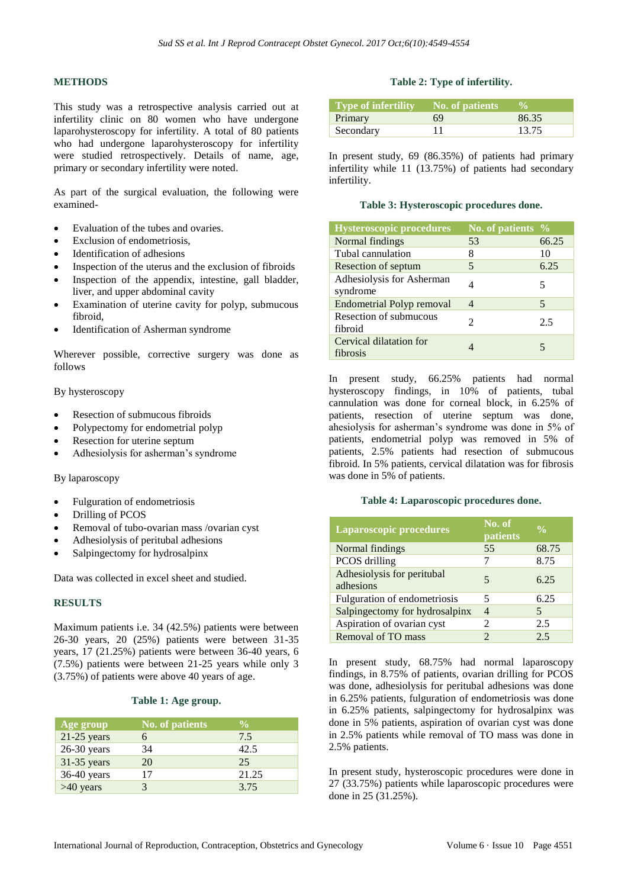# **METHODS**

This study was a retrospective analysis carried out at infertility clinic on 80 women who have undergone laparohysteroscopy for infertility. A total of 80 patients who had undergone laparohysteroscopy for infertility were studied retrospectively. Details of name, age, primary or secondary infertility were noted.

As part of the surgical evaluation, the following were examined-

- Evaluation of the tubes and ovaries.
- Exclusion of endometriosis
- Identification of adhesions
- Inspection of the uterus and the exclusion of fibroids
- Inspection of the appendix, intestine, gall bladder, liver, and upper abdominal cavity
- Examination of uterine cavity for polyp, submucous fibroid,
- Identification of Asherman syndrome

Wherever possible, corrective surgery was done as follows

By hysteroscopy

- Resection of submucous fibroids
- Polypectomy for endometrial polyp
- Resection for uterine septum
- Adhesiolysis for asherman's syndrome

#### By laparoscopy

- Fulguration of endometriosis
- Drilling of PCOS
- Removal of tubo-ovarian mass /ovarian cyst
- Adhesiolysis of peritubal adhesions
- Salpingectomy for hydrosalpinx

Data was collected in excel sheet and studied.

# **RESULTS**

Maximum patients i.e. 34 (42.5%) patients were between 26-30 years, 20 (25%) patients were between 31-35 years, 17 (21.25%) patients were between 36-40 years, 6 (7.5%) patients were between 21-25 years while only 3 (3.75%) of patients were above 40 years of age.

#### **Table 1: Age group.**

| Age group     | <b>No. of patients</b> | $\frac{6}{10}$ |
|---------------|------------------------|----------------|
| $21-25$ years |                        | 7.5            |
| $26-30$ years | 34                     | 42.5           |
| $31-35$ years | 20                     | 25             |
| 36-40 years   | 17                     | 21.25          |
| $>40$ years   |                        | 3.75           |

#### **Table 2: Type of infertility.**

| <b>Type of infertility</b> No. of patients |    |       |
|--------------------------------------------|----|-------|
| Primary                                    | 69 | 86.35 |
| Secondary                                  |    | 13.75 |

In present study, 69 (86.35%) of patients had primary infertility while 11 (13.75%) of patients had secondary infertility.

#### **Table 3: Hysteroscopic procedures done.**

| <b>Hysteroscopic procedures</b>       | No. of patients $\%$        |       |
|---------------------------------------|-----------------------------|-------|
| Normal findings                       | 53                          | 66.25 |
| Tubal cannulation                     | 8                           | 10    |
| Resection of septum                   | 5                           | 6.25  |
| Adhesiolysis for Asherman<br>syndrome |                             | 5     |
| <b>Endometrial Polyp removal</b>      | $\overline{4}$              | 5     |
| Resection of submucous<br>fibroid     | $\mathcal{D}_{\mathcal{L}}$ | 2.5   |
| Cervical dilatation for<br>fibrosis   |                             |       |

In present study, 66.25% patients had normal hysteroscopy findings, in 10% of patients, tubal cannulation was done for corneal block, in 6.25% of patients, resection of uterine septum was done, ahesiolysis for asherman's syndrome was done in 5% of patients, endometrial polyp was removed in 5% of patients, 2.5% patients had resection of submucous fibroid. In 5% patients, cervical dilatation was for fibrosis was done in 5% of patients.

#### **Table 4: Laparoscopic procedures done.**

| <b>Laparoscopic procedures</b>          | No. of<br>patients | $\frac{0}{0}$ |
|-----------------------------------------|--------------------|---------------|
| Normal findings                         | 55                 | 68.75         |
| PCOS drilling                           |                    | 8.75          |
| Adhesiolysis for peritubal<br>adhesions | 5                  | 6.25          |
| Fulguration of endometriosis            | 5                  | 6.25          |
| Salpingectomy for hydrosalpinx          | 4                  | 5             |
| Aspiration of ovarian cyst              | 2                  | 2.5           |
| Removal of TO mass                      | っ                  | 2.5           |

In present study, 68.75% had normal laparoscopy findings, in 8.75% of patients, ovarian drilling for PCOS was done, adhesiolysis for peritubal adhesions was done in 6.25% patients, fulguration of endometriosis was done in 6.25% patients, salpingectomy for hydrosalpinx was done in 5% patients, aspiration of ovarian cyst was done in 2.5% patients while removal of TO mass was done in 2.5% patients.

In present study, hysteroscopic procedures were done in 27 (33.75%) patients while laparoscopic procedures were done in 25 (31.25%).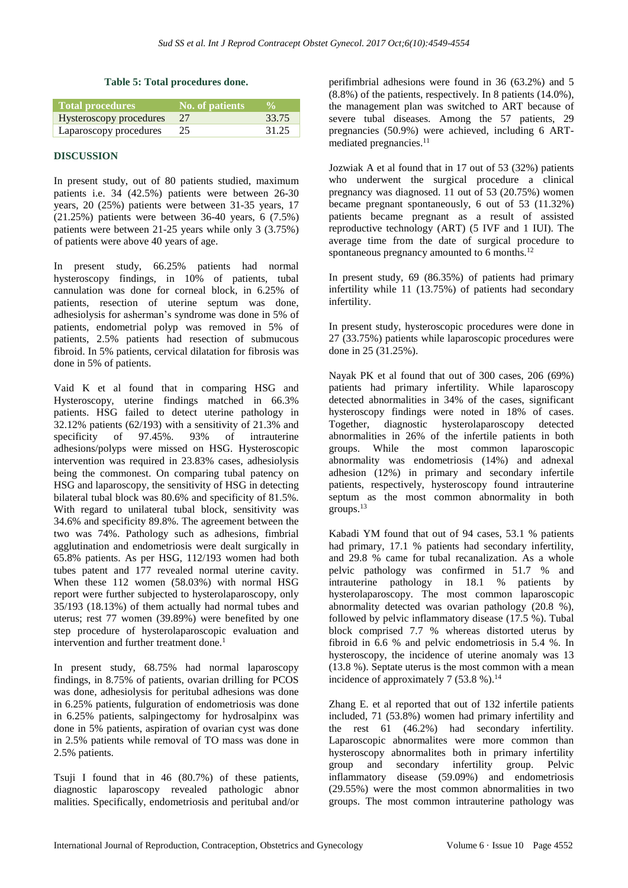#### **Table 5: Total procedures done.**

| <b>Total procedures</b> | No. of patients | $\frac{0}{\alpha}$ |
|-------------------------|-----------------|--------------------|
| Hysteroscopy procedures | - 27            | 33.75              |
| Laparoscopy procedures  | 25              | 31.25              |

#### **DISCUSSION**

In present study, out of 80 patients studied, maximum patients i.e. 34 (42.5%) patients were between 26-30 years, 20 (25%) patients were between 31-35 years, 17 (21.25%) patients were between 36-40 years, 6 (7.5%) patients were between 21-25 years while only 3 (3.75%) of patients were above 40 years of age.

In present study, 66.25% patients had normal hysteroscopy findings, in 10% of patients, tubal cannulation was done for corneal block, in 6.25% of patients, resection of uterine septum was done, adhesiolysis for asherman's syndrome was done in 5% of patients, endometrial polyp was removed in 5% of patients, 2.5% patients had resection of submucous fibroid. In 5% patients, cervical dilatation for fibrosis was done in 5% of patients.

Vaid K et al found that in comparing HSG and Hysteroscopy, uterine findings matched in 66.3% patients. HSG failed to detect uterine pathology in 32.12% patients (62/193) with a sensitivity of 21.3% and specificity of 97.45%. 93% of intrauterine adhesions/polyps were missed on HSG. Hysteroscopic intervention was required in 23.83% cases, adhesiolysis being the commonest. On comparing tubal patency on HSG and laparoscopy, the sensitivity of HSG in detecting bilateral tubal block was 80.6% and specificity of 81.5%. With regard to unilateral tubal block, sensitivity was 34.6% and specificity 89.8%. The agreement between the two was 74%. Pathology such as adhesions, fimbrial agglutination and endometriosis were dealt surgically in 65.8% patients. As per HSG, 112/193 women had both tubes patent and 177 revealed normal uterine cavity. When these 112 women (58.03%) with normal HSG report were further subjected to hysterolaparoscopy, only 35/193 (18.13%) of them actually had normal tubes and uterus; rest 77 women (39.89%) were benefited by one step procedure of hysterolaparoscopic evaluation and intervention and further treatment done.<sup>1</sup>

In present study, 68.75% had normal laparoscopy findings, in 8.75% of patients, ovarian drilling for PCOS was done, adhesiolysis for peritubal adhesions was done in 6.25% patients, fulguration of endometriosis was done in 6.25% patients, salpingectomy for hydrosalpinx was done in 5% patients, aspiration of ovarian cyst was done in 2.5% patients while removal of TO mass was done in 2.5% patients.

Tsuji I found that in 46 (80.7%) of these patients, diagnostic laparoscopy revealed pathologic abnor malities. Specifically, endometriosis and peritubal and/or perifimbrial adhesions were found in 36 (63.2%) and 5 (8.8%) of the patients, respectively. In 8 patients (14.0%), the management plan was switched to ART because of severe tubal diseases. Among the 57 patients, 29 pregnancies (50.9%) were achieved, including 6 ARTmediated pregnancies.<sup>11</sup>

Jozwiak A et al found that in 17 out of 53 (32%) patients who underwent the surgical procedure a clinical pregnancy was diagnosed. 11 out of 53 (20.75%) women became pregnant spontaneously, 6 out of 53 (11.32%) patients became pregnant as a result of assisted reproductive technology (ART) (5 IVF and 1 IUI). The average time from the date of surgical procedure to spontaneous pregnancy amounted to 6 months.<sup>12</sup>

In present study, 69 (86.35%) of patients had primary infertility while 11 (13.75%) of patients had secondary infertility.

In present study, hysteroscopic procedures were done in 27 (33.75%) patients while laparoscopic procedures were done in 25 (31.25%).

Nayak PK et al found that out of 300 cases, 206 (69%) patients had primary infertility. While laparoscopy detected abnormalities in 34% of the cases, significant hysteroscopy findings were noted in 18% of cases. Together, diagnostic hysterolaparoscopy detected abnormalities in 26% of the infertile patients in both groups. While the most common laparoscopic abnormality was endometriosis (14%) and adnexal adhesion (12%) in primary and secondary infertile patients, respectively, hysteroscopy found intrauterine septum as the most common abnormality in both groups. $13$ 

Kabadi YM found that out of 94 cases, 53.1 % patients had primary, 17.1 % patients had secondary infertility, and 29.8 % came for tubal recanalization. As a whole pelvic pathology was confirmed in 51.7 % and intrauterine pathology in 18.1 % patients by hysterolaparoscopy. The most common laparoscopic abnormality detected was ovarian pathology (20.8 %), followed by pelvic inflammatory disease (17.5 %). Tubal block comprised 7.7 % whereas distorted uterus by fibroid in 6.6 % and pelvic endometriosis in 5.4 %. In hysteroscopy, the incidence of uterine anomaly was 13 (13.8 %). Septate uterus is the most common with a mean incidence of approximately 7  $(53.8\%)$ .<sup>14</sup>

Zhang E. et al reported that out of 132 infertile patients included, 71 (53.8%) women had primary infertility and the rest 61 (46.2%) had secondary infertility. Laparoscopic abnormalites were more common than hysteroscopy abnormalites both in primary infertility group and secondary infertility group. Pelvic inflammatory disease (59.09%) and endometriosis (29.55%) were the most common abnormalities in two groups. The most common intrauterine pathology was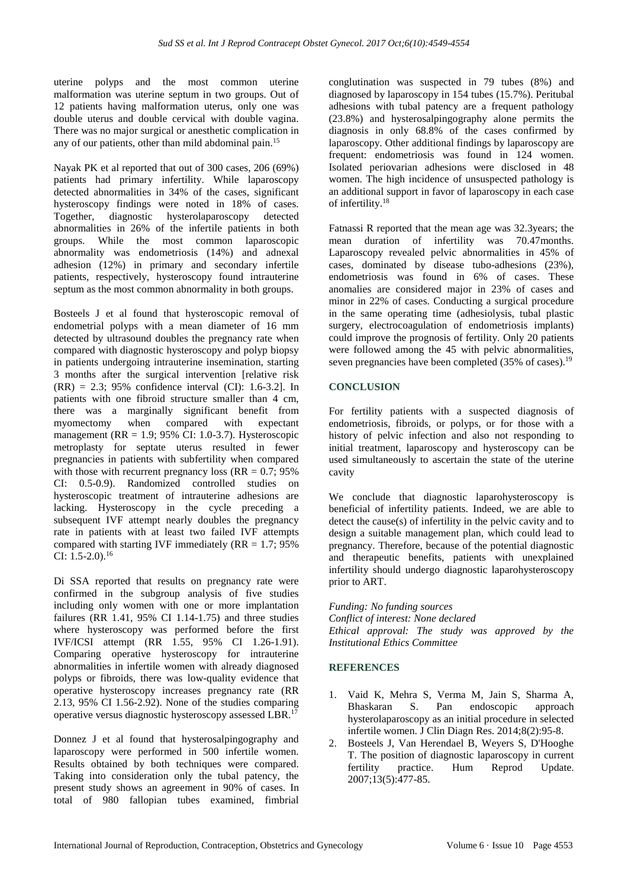uterine polyps and the most common uterine malformation was uterine septum in two groups. Out of 12 patients having malformation uterus, only one was double uterus and double cervical with double vagina. There was no major surgical or anesthetic complication in any of our patients, other than mild abdominal pain.<sup>15</sup>

Nayak PK et al reported that out of 300 cases, 206 (69%) patients had primary infertility. While laparoscopy detected abnormalities in 34% of the cases, significant hysteroscopy findings were noted in 18% of cases. Together, diagnostic hysterolaparoscopy detected abnormalities in 26% of the infertile patients in both groups. While the most common laparoscopic abnormality was endometriosis (14%) and adnexal adhesion (12%) in primary and secondary infertile patients, respectively, hysteroscopy found intrauterine septum as the most common abnormality in both groups.

Bosteels J et al found that hysteroscopic removal of endometrial polyps with a mean diameter of 16 mm detected by ultrasound doubles the pregnancy rate when compared with diagnostic hysteroscopy and polyp biopsy in patients undergoing intrauterine insemination, starting 3 months after the surgical intervention [relative risk  $(RR) = 2.3$ ; 95% confidence interval  $(CI)$ : 1.6-3.2]. In patients with one fibroid structure smaller than 4 cm, there was a marginally significant benefit from myomectomy when compared with expectant management ( $RR = 1.9$ ; 95% CI: 1.0-3.7). Hysteroscopic metroplasty for septate uterus resulted in fewer pregnancies in patients with subfertility when compared with those with recurrent pregnancy loss ( $RR = 0.7$ ; 95%) CI: 0.5-0.9). Randomized controlled studies on hysteroscopic treatment of intrauterine adhesions are lacking. Hysteroscopy in the cycle preceding a subsequent IVF attempt nearly doubles the pregnancy rate in patients with at least two failed IVF attempts compared with starting IVF immediately  $(RR = 1.7; 95\%$ CI: 1.5-2.0).<sup>16</sup>

Di SSA reported that results on pregnancy rate were confirmed in the subgroup analysis of five studies including only women with one or more implantation failures (RR 1.41, 95% CI 1.14-1.75) and three studies where hysteroscopy was performed before the first IVF/ICSI attempt (RR 1.55, 95% CI 1.26-1.91). Comparing operative hysteroscopy for intrauterine abnormalities in infertile women with already diagnosed polyps or fibroids, there was low-quality evidence that operative hysteroscopy increases pregnancy rate (RR 2.13, 95% CI 1.56-2.92). None of the studies comparing operative versus diagnostic hysteroscopy assessed LBR.<sup>17</sup>

Donnez J et al found that hysterosalpingography and laparoscopy were performed in 500 infertile women. Results obtained by both techniques were compared. Taking into consideration only the tubal patency, the present study shows an agreement in 90% of cases. In total of 980 fallopian tubes examined, fimbrial conglutination was suspected in 79 tubes (8%) and diagnosed by laparoscopy in 154 tubes (15.7%). Peritubal adhesions with tubal patency are a frequent pathology (23.8%) and hysterosalpingography alone permits the diagnosis in only 68.8% of the cases confirmed by laparoscopy. Other additional findings by laparoscopy are frequent: endometriosis was found in 124 women. Isolated periovarian adhesions were disclosed in 48 women. The high incidence of unsuspected pathology is an additional support in favor of laparoscopy in each case of infertility.<sup>18</sup>

Fatnassi R reported that the mean age was 32.3years; the mean duration of infertility was 70.47months. Laparoscopy revealed pelvic abnormalities in 45% of cases, dominated by disease tubo-adhesions (23%), endometriosis was found in 6% of cases. These anomalies are considered major in 23% of cases and minor in 22% of cases. Conducting a surgical procedure in the same operating time (adhesiolysis, tubal plastic surgery, electrocoagulation of endometriosis implants) could improve the prognosis of fertility. Only 20 patients were followed among the 45 with pelvic abnormalities, seven pregnancies have been completed (35% of cases).<sup>19</sup>

# **CONCLUSION**

For fertility patients with a suspected diagnosis of endometriosis, fibroids, or polyps, or for those with a history of pelvic infection and also not responding to initial treatment, laparoscopy and hysteroscopy can be used simultaneously to ascertain the state of the uterine cavity

We conclude that diagnostic laparohysteroscopy is beneficial of infertility patients. Indeed, we are able to detect the cause(s) of infertility in the pelvic cavity and to design a suitable management plan, which could lead to pregnancy. Therefore, because of the potential diagnostic and therapeutic benefits, patients with unexplained infertility should undergo diagnostic laparohysteroscopy prior to ART.

*Funding: No funding sources Conflict of interest: None declared Ethical approval: The study was approved by the Institutional Ethics Committee*

# **REFERENCES**

- 1. Vaid K, Mehra S, Verma M, Jain S, Sharma A, Bhaskaran S. Pan endoscopic approach hysterolaparoscopy as an initial procedure in selected infertile women. J Clin Diagn Res. 2014;8(2):95-8.
- 2. Bosteels J, Van Herendael B, Weyers S, D'Hooghe T. The position of diagnostic laparoscopy in current<br>fertility practice. Hum Reprod Update. fertility practice. Hum Reprod 2007;13(5):477-85.